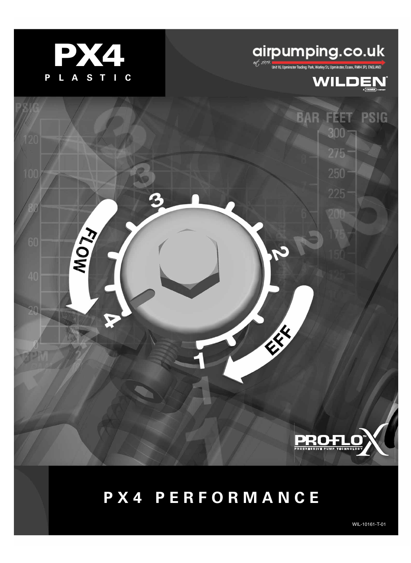

**KOW** 

# **airpumping.co.uk**

**BAR FEET** 

 $300 -$ 

 $275 -$ 

225

**SERVICE RE** 



**PSIG** 

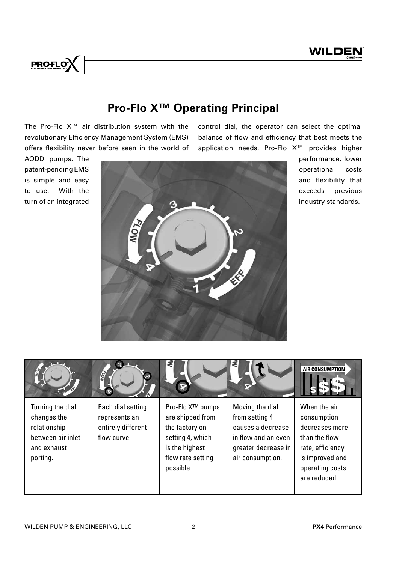

## **Pro-Flo XTM Operating Principal**

The Pro-Flo X™ air distribution system with the revolutionary Efficiency Management System (EMS) offers flexibility never before seen in the world of control dial, the operator can select the optimal balance of flow and efficiency that best meets the application needs. Pro-Flo X™ provides higher



performance, lower operational costs and flexibility that exceeds previous industry standards.

|                                                                                                 | <b>ASI</b>                                                             | ₹<br>œ                                                                                                                                    | ₹                                                                                                                        | <b>AIR CONSUMPTION</b>                                                                                                                   |
|-------------------------------------------------------------------------------------------------|------------------------------------------------------------------------|-------------------------------------------------------------------------------------------------------------------------------------------|--------------------------------------------------------------------------------------------------------------------------|------------------------------------------------------------------------------------------------------------------------------------------|
| Turning the dial<br>changes the<br>relationship<br>between air inlet<br>and exhaust<br>porting. | Each dial setting<br>represents an<br>entirely different<br>flow curve | Pro-Flo X <sup>™</sup> pumps<br>are shipped from<br>the factory on<br>setting 4, which<br>is the highest<br>flow rate setting<br>possible | Moving the dial<br>from setting 4<br>causes a decrease<br>in flow and an even<br>greater decrease in<br>air consumption. | When the air<br>consumption<br>decreases more<br>than the flow<br>rate, efficiency<br>is improved and<br>operating costs<br>are reduced. |

### AODD pumps. The patent-pending EMS is simple and easy to use. With the turn of an integrated

**PROFLO**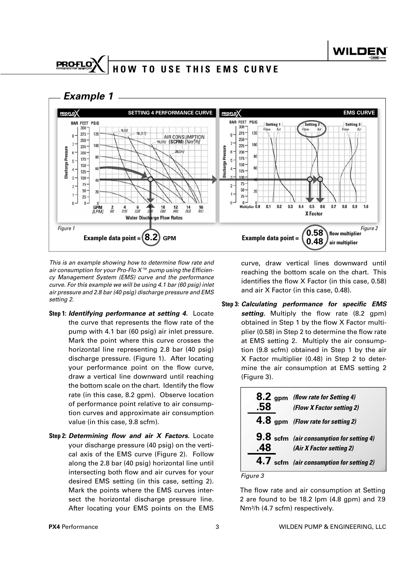## **HOW TO USE THIS EMS CURVE**



This is an example showing how to determine flow rate and air consumption for your Pro-Flo  $X^{\scriptscriptstyle \text{TM}}$  pump using the Efficiency Management System (EMS) curve and the performance curve. For this example we will be using 4.1 bar (60 psig) inlet air pressure and 2.8 bar (40 psig) discharge pressure and EMS setting 2.

- **Step 1:** *Identifying performance at setting 4.* Locate the curve that represents the flow rate of the pump with 4.1 bar (60 psig) air inlet pressure. Mark the point where this curve crosses the horizontal line representing 2.8 bar (40 psig) discharge pressure. (Figure 1). After locating your performance point on the flow curve, draw a vertical line downward until reaching the bottom scale on the chart. Identify the flow rate (in this case, 8.2 gpm). Observe location of performance point relative to air consumption curves and approximate air consumption value (in this case, 9.8 scfm).
- **Step 2:** *Determining flow and air X Factors.* Locate your discharge pressure (40 psig) on the vertical axis of the EMS curve (Figure 2). Follow along the 2.8 bar (40 psig) horizontal line until intersecting both flow and air curves for your desired EMS setting (in this case, setting 2). Mark the points where the EMS curves intersect the horizontal discharge pressure line. After locating your EMS points on the EMS

curve, draw vertical lines downward until reaching the bottom scale on the chart. This identifies the flow  $X$  Factor (in this case, 0.58) and air X Factor (in this case, 0.48).

**Step 3:** *Calculating performance for specific EMS*  setting. Multiply the flow rate (8.2 gpm) obtained in Step 1 by the flow X Factor multiplier (0.58) in Step 2 to determine the flow rate at EMS setting 2. Multiply the air consumption (9.8 scfm) obtained in Step 1 by the air X Factor multiplier (0.48) in Step 2 to determine the air consumption at EMS setting 2 (Figure 3).

| 8.2 gpm (flow rate for Setting 4)<br>(Flow X Factor setting 2)                        |
|---------------------------------------------------------------------------------------|
| 4.8 gpm (Flow rate for setting 2)                                                     |
| <b>9.8</b> scfm (air consumption for setting 4)<br>$\vert 8$ (Air X Factor setting 2) |
| 4.7 scfm (air consumption for setting 2)                                              |

Figure 3

The flow rate and air consumption at Setting 2 are found to be 18.2 lpm (4.8 gpm) and 7.9 Nm<sup>3</sup> /h (4.7 scfm) respectively.

**PROFLO**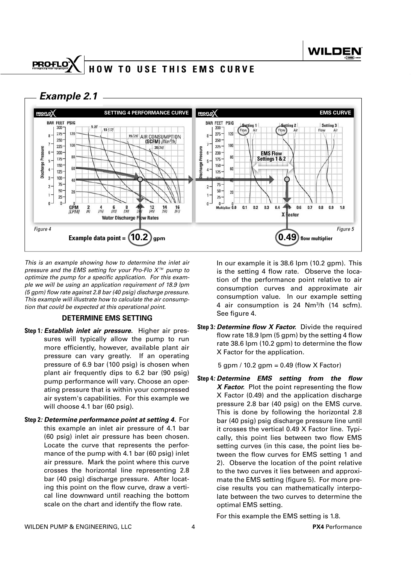#### **PROFLO HOW TO USE THIS EMS CURVE**

 *Example 2.1*



This is an example showing how to determine the inlet air pressure and the EMS setting for your Pro-Flo X<sup>™</sup> pump to optimize the pump for a specific application. For this example we will be using an application requirement of 18.9 lpm  $(5$  gpm) flow rate against 2.8 bar (40 psig) discharge pressure. This example will illustrate how to calculate the air consumption that could be expected at this operational point.

#### **DETERMINE EMS SETTING**

- **Step 1***: Establish inlet air pressure.* Higher air pressures will typically allow the pump to run more efficiently, however, available plant air pressure can vary greatly. If an operating pressure of 6.9 bar (100 psig) is chosen when plant air frequently dips to 6.2 bar (90 psig) pump performance will vary. Choose an operating pressure that is within your compressed air system's capabilities. For this example we will choose 4.1 bar (60 psig).
- **Step 2***: Determine performance point at setting 4.* For this example an inlet air pressure of 4.1 bar (60 psig) inlet air pressure has been chosen. Locate the curve that represents the performance of the pump with 4.1 bar (60 psig) inlet air pressure. Mark the point where this curve crosses the horizontal line representing 2.8 bar (40 psig) discharge pressure. After locating this point on the flow curve, draw a vertical line downward until reaching the bottom scale on the chart and identify the flow rate.

 In our example it is 38.6 lpm (10.2 gpm). This is the setting 4 flow rate. Observe the location of the performance point relative to air consumption curves and approximate air consumption value. In our example setting 4 air consumption is 24 Nm<sup>3</sup> /h (14 scfm). See figure 4.

**Step 3***: Determine flow X Factor.* Divide the required flow rate 18.9 lpm  $(5 \text{ gpm})$  by the setting 4 flow rate 38.6 lpm (10.2 gpm) to determine the flow X Factor for the application.

5 gpm / 10.2 gpm = 0.49 (flow X Factor)

**Step 4***: Determine EMS setting from the flow X Factor.* Plot the point representing the flow X Factor (0.49) and the application discharge pressure 2.8 bar (40 psig) on the EMS curve. This is done by following the horizontal 2.8 bar (40 psig) psig discharge pressure line until it crosses the vertical 0.49 X Factor line. Typically, this point lies between two flow EMS setting curves (in this case, the point lies between the flow curves for EMS setting 1 and 2). Observe the location of the point relative to the two curves it lies between and approximate the EMS setting (figure 5). For more precise results you can mathematically interpolate between the two curves to determine the optimal EMS setting.

For this example the EMS setting is 1.8.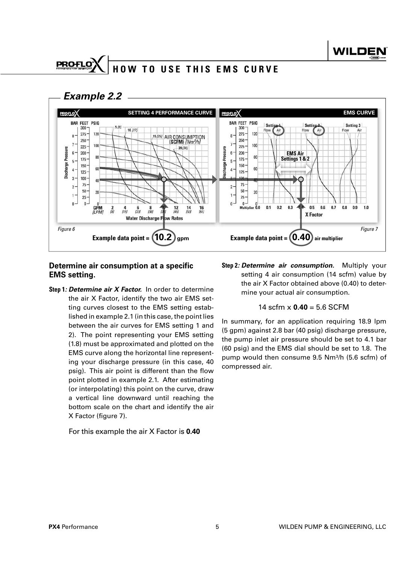#### **PROFLO HOW TO USE THIS EMS CURVE**





#### **Determine air consumption at a specific EMS setting.**

**Step 1***: Determine air X Factor.* In order to determine the air X Factor, identify the two air EMS setting curves closest to the EMS setting established in example 2.1 (in this case, the point lies between the air curves for EMS setting 1 and 2). The point representing your EMS setting (1.8) must be approximated and plotted on the EMS curve along the horizontal line representing your discharge pressure (in this case, 40 psig). This air point is different than the flow point plotted in example 2.1. After estimating (or interpolating) this point on the curve, draw a vertical line downward until reaching the bottom scale on the chart and identify the air X Factor (figure 7).

#### For this example the air X Factor is **0.40**

**Step 2***: Determine air consumption.* Multiply your setting 4 air consumption (14 scfm) value by the air X Factor obtained above (0.40) to determine your actual air consumption.

#### 14 scfm x **0.40** = 5.6 SCFM

In summary, for an application requiring 18.9 lpm (5 gpm) against 2.8 bar (40 psig) discharge pressure, the pump inlet air pressure should be set to 4.1 bar (60 psig) and the EMS dial should be set to 1.8. The pump would then consume 9.5 Nm<sup>3</sup> /h (5.6 scfm) of compressed air.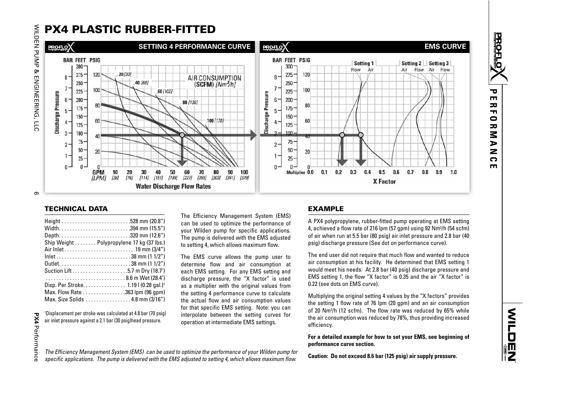## PX4 PLASTIC RUBBER-FITTED



#### TECHNICAL DATA

| Width394 mm (15.5")                               |
|---------------------------------------------------|
| Depth320 mm (12.6")                               |
| Ship Weight Polypropylene 17 kg (37 lbs.)         |
| Air Inlet 19 mm (3/4")                            |
| $lnlet$ 38 mm (1 1/2")                            |
|                                                   |
| Suction Lift5.7 m Dry (18.7')                     |
|                                                   |
| Disp. Per Stroke. 1.19   (0.28 gal.) <sup>1</sup> |
| Max. Flow Rate 363 lpm (96 qpm)                   |
| Max. Size Solids 4.8 mm (3/16")                   |

1Displacement per stroke was calculated at 4.8 bar (70 psig) air inlet pressure against a 2.1 bar (30 psig)head pressure.

The Efficiency Management System (EMS) can be used to optimize the performance of your Wilden pump for specific applications. The pump is delivered with the EMS adjusted to setting 4, which allows maximum flow.

The Efficiency Management System (EMS) can be used to optimize the performance of your Wilden pump for specific applications. The pump is delivered with the EMS adjusted to setting 4, which allows maximum flow.

The EMS curve allows the pump user to determine flow and air consumption at each EMS setting. For any EMS setting and discharge pressure, the "X factor" is used as a multiplier with the original values from the setting 4 performance curve to calculate the actual flow and air consumption values for that specific EMS setting. Note: you can interpolate between the setting curves for operation at intermediate EMS settings.

#### EXAMPLE

A PX4 polypropylene, rubber-fitted pump operating at EMS setting 4, achieved a flow rate of 216 lpm (57 gpm) using 92 Nm<sup>3</sup>/h (54 scfm) of air when run at 5.5 bar (80 psig) air inlet pressure and 2.8 bar (40 psig) discharge pressure (See dot on performance curve).

The end user did not require that much flow and wanted to reduce air consumption at his facility. He determined that EMS setting 1 would meet his needs. At 2.8 bar (40 psig) discharge pressure and EMS setting 1, the flow "X factor" is 0.35 and the air "X factor" is 0.22 (see dots on EMS curve).

Multiplying the original setting 4 values by the "X factors" provides the setting 1 flow rate of 76 lpm (20 gpm) and an air consumption of 20  $Nm^{3}/h$  (12 scfm). The flow rate was reduced by  $65\%$  while the air consumption was reduced by 78%, thus providing increased efficiency.

**For a detailed example for how to set your EMS, see beginning of performance curve section.**

**Caution: Do not exceed 8.6 bar (125 psig) air supply pressure.** 

**NHOMZ** 

WILDEN PUMP & ENGINEERING, LLC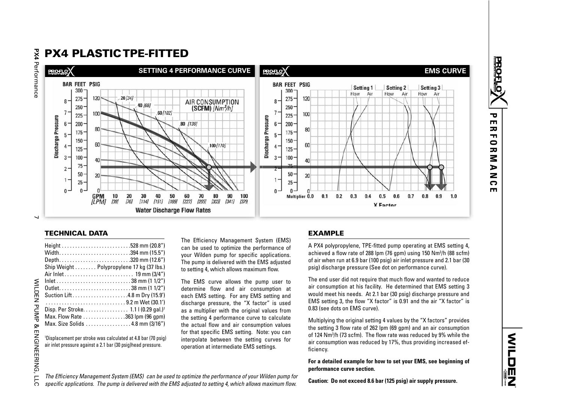## PX4 PLASTIC TPE-FITTED



1Displacement per stroke was calculated at 4.8 bar (70 psig) air inlet pressure against a 2.1 bar (30 psig)head pressure.

The Efficiency Management System (EMS) can be used to optimize the performance of your Wilden pump for specific applications. The pump is delivered with the EMS adjusted to setting 4, which allows maximum flow.

The EMS curve allows the pump user to determine flow and air consumption at each EMS setting. For any EMS setting and discharge pressure, the "X factor" is used as a multiplier with the original values from the setting 4 performance curve to calculate the actual flow and air consumption values for that specific EMS setting. Note: you can interpolate between the setting curves for operation at intermediate EMS settings.

#### EXAMPLE

A PX4 polypropylene, TPE-fitted pump operating at EMS setting 4, achieved a flow rate of 288 lpm (76 gpm) using 150 Nm<sup>3</sup>/h (88 scfm) of air when run at 6.9 bar (100 psig) air inlet pressure and 2.1 bar (30 psig) discharge pressure (See dot on performance curve).

The end user did not require that much flow and wanted to reduce air consumption at his facility. He determined that EMS setting 3 would meet his needs. At 2.1 bar (30 psig) discharge pressure and EMS setting 3, the flow "X factor" is 0.91 and the air "X factor" is 0.83 (see dots on EMS curve).

Multiplying the original setting 4 values by the "X factors" provides the setting 3 flow rate of 262 lpm (69 gpm) and an air consumption of 124 Nm<sup>3</sup>/h (73 scfm). The flow rate was reduced by 9% while the air consumption was reduced by 17%, thus providing increased efficiency.

**For a detailed example for how to set your EMS, see beginning of performance curve section.**

The Efficiency Management System (EMS) can be used to optimize the performance of your Wilden pump for specific applications. The pump is delivered with the EMS adjusted to setting 4, which allows maximum flow.

**Caution: Do not exceed 8.6 bar (125 psig) air supply pressure.** 

 $\overline{\phantom{0}}$ 

WILDEN PUMP & ENGINEERING, LLC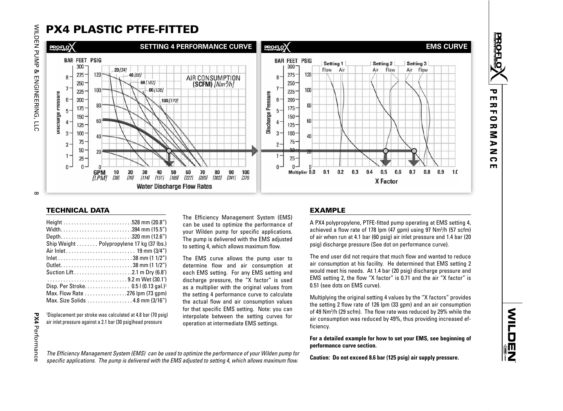## PX4 PLASTIC PTFE-FITTED



| Width394 mm (15.5")<br>Depth320 mm (12.6")<br>Ship Weight  Polypropylene 17 kg (37 lbs.)<br>$lnlet$ 38 mm (1 1/2")<br>Suction Lift2.1 m Dry (6.8')<br>9.2 m Wet (30.1') |  |
|-------------------------------------------------------------------------------------------------------------------------------------------------------------------------|--|
| Disp. Per Stroke 0.5   (0.13 gal.) <sup>1</sup><br>Max. Flow Rate 276 lpm (73 gpm)<br>Max. Size Solids 4.8 mm (3/16")                                                   |  |

1Displacement per stroke was calculated at 4.8 bar (70 psig) air inlet pressure against a 2.1 bar (30 psig)head pressure

The Efficiency Management System (EMS) can be used to optimize the performance of your Wilden pump for specific applications. The pump is delivered with the EMS adjusted to setting 4, which allows maximum flow.

The EMS curve allows the pump user to determine flow and air consumption at each EMS setting. For any EMS setting and discharge pressure, the "X factor" is used as a multiplier with the original values from the setting 4 performance curve to calculate the actual flow and air consumption values for that specific EMS setting. Note: you can interpolate between the setting curves for operation at intermediate EMS settings.

#### EXAMPLE

A PX4 polypropylene, PTFE-fitted pump operating at EMS setting 4, achieved a flow rate of 178 lpm  $(47 \text{ qpm})$  using 97 Nm<sup>3</sup>/h  $(57 \text{ scfm})$ of air when run at 4.1 bar (60 psig) air inlet pressure and 1.4 bar (20 psig) discharge pressure (See dot on performance curve).

The end user did not require that much flow and wanted to reduce air consumption at his facility. He determined that EMS setting 2 would meet his needs. At 1.4 bar (20 psig) discharge pressure and EMS setting 2, the flow "X factor" is 0.71 and the air "X factor" is 0.51 (see dots on EMS curve).

Multiplying the original setting 4 values by the "X factors" provides the setting 2 flow rate of 126 lpm (33 gpm) and an air consumption of 49 Nm<sup>3</sup>/h (29 scfm). The flow rate was reduced by 29% while the air consumption was reduced by 49%, thus providing increased efficiency.

**For a detailed example for how to set your EMS, see beginning of performance curve section.**

**Caution: Do not exceed 8.6 bar (125 psig) air supply pressure.** 

**NEDERIZ** 

WILDEN PUMP & ENGINEERING, LLC 8